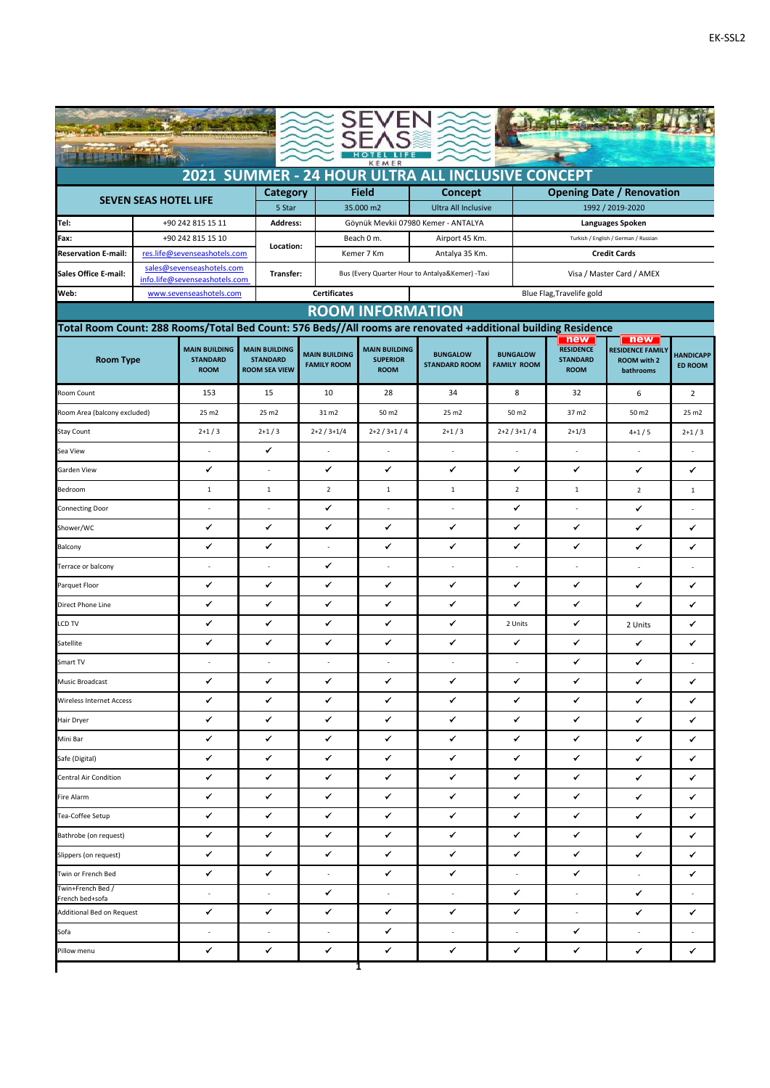| <b>是很是国际组织权力和组织的</b>                                                                                                                     |  |                                                   |                                         |                      |                                                 |                                     |                           |                                                             |                                              |                                               |                  |  |  |  |
|------------------------------------------------------------------------------------------------------------------------------------------|--|---------------------------------------------------|-----------------------------------------|----------------------|-------------------------------------------------|-------------------------------------|---------------------------|-------------------------------------------------------------|----------------------------------------------|-----------------------------------------------|------------------|--|--|--|
| KEMER<br>2021 SUMMER - 24 HOUR ULTRA ALL INCLUSIVE CONCEPT                                                                               |  |                                                   |                                         |                      |                                                 |                                     |                           |                                                             |                                              |                                               |                  |  |  |  |
|                                                                                                                                          |  |                                                   | Category                                |                      | <b>Field</b>                                    | <b>Concept</b>                      |                           |                                                             |                                              | <b>Opening Date / Renovation</b>              |                  |  |  |  |
| <b>SEVEN SEAS HOTEL LIFE</b>                                                                                                             |  |                                                   | 5 Star                                  |                      | 35.000 m2                                       | <b>Ultra All Inclusive</b>          |                           |                                                             | 1992 / 2019-2020                             |                                               |                  |  |  |  |
| Tel:                                                                                                                                     |  | +90 242 815 15 11                                 | <b>Address:</b>                         |                      |                                                 | Göynük Mevkii 07980 Kemer - ANTALYA |                           |                                                             |                                              | <b>Languages Spoken</b>                       |                  |  |  |  |
| Fax:<br><b>Reservation E-mail:</b>                                                                                                       |  | +90 242 815 15 10<br>res.life@sevenseashotels.com | Location:                               |                      | Beach 0 m.<br>Kemer 7 Km                        | Airport 45 Km.<br>Antalya 35 Km.    |                           | Turkish / English / German / Russian<br><b>Credit Cards</b> |                                              |                                               |                  |  |  |  |
| <b>Sales Office E-mail:</b>                                                                                                              |  | sales@sevenseashotels.com                         | Transfer:                               |                      |                                                 |                                     |                           |                                                             | Visa / Master Card / AMEX                    |                                               |                  |  |  |  |
|                                                                                                                                          |  | info.life@sevenseashotels.com                     |                                         | <b>Certificates</b>  | Bus (Every Quarter Hour to Antalya&Kemer) -Taxi |                                     |                           |                                                             |                                              |                                               |                  |  |  |  |
| Web:                                                                                                                                     |  | www.sevenseashotels.com                           |                                         |                      |                                                 |                                     | Blue Flag, Travelife gold |                                                             |                                              |                                               |                  |  |  |  |
| <b>ROOM INFORMATION</b><br>Total Room Count: 288 Rooms/Total Bed Count: 576 Beds//All rooms are renovated +additional building Residence |  |                                                   |                                         |                      |                                                 |                                     |                           |                                                             |                                              |                                               |                  |  |  |  |
| <b>Room Type</b>                                                                                                                         |  |                                                   | <b>MAIN BUILDING</b><br><b>STANDARD</b> | <b>MAIN BUILDING</b> | <b>MAIN BUILDING</b><br><b>SUPERIOR</b>         | <b>BUNGALOW</b>                     | <b>BUNGALOW</b>           |                                                             | new  <br><b>RESIDENCE</b><br><b>STANDARD</b> | new<br><b>RESIDENCE FAMILY</b><br>ROOM with 2 | <b>HANDICAPP</b> |  |  |  |
|                                                                                                                                          |  | <b>ROOM</b>                                       | <b>ROOM SEA VIEW</b>                    | <b>FAMILY ROOM</b>   | <b>ROOM</b>                                     | <b>STANDARD ROOM</b>                | <b>FAMILY ROOM</b>        |                                                             | <b>ROOM</b>                                  | bathrooms                                     | <b>ED ROOM</b>   |  |  |  |
| Room Count                                                                                                                               |  | 153                                               | 15                                      | 10                   | 28                                              | 34                                  | 8                         |                                                             | 32                                           | 6                                             | $\overline{2}$   |  |  |  |
| Room Area (balcony excluded)                                                                                                             |  | 25 m2                                             | 25 m2                                   | 31 m2                | 50 m2                                           | 25 m2                               | 50 m2                     |                                                             | 37 m2                                        | 50 m2                                         | 25 m2            |  |  |  |
| Stay Count                                                                                                                               |  | $2+1/3$                                           | $2+1/3$                                 | $2+2/3+1/4$          | $2+2/3+1/4$                                     | $2+1/3$                             | $2+2/3+1/4$               |                                                             | $2+1/3$                                      | $4+1/5$                                       | $2+1/3$          |  |  |  |
| Sea View                                                                                                                                 |  |                                                   | ✓                                       | ÷,                   | i,                                              | ä,                                  | ÷,                        |                                                             | ÷,                                           | L.                                            |                  |  |  |  |
| Garden View                                                                                                                              |  |                                                   | ä,                                      | ✔                    | ✓                                               | ✔                                   | ✔                         |                                                             | ✔                                            | ✓                                             | ✓                |  |  |  |
| Bedroom                                                                                                                                  |  | $\mathbf{1}$                                      | $\mathbf{1}$                            | $\overline{2}$       | $\mathbf{1}$                                    | $\mathbf{1}$                        | $\overline{2}$            |                                                             | $\mathbf{1}$                                 | $\overline{2}$                                | $\mathbf{1}$     |  |  |  |
| <b>Connecting Door</b>                                                                                                                   |  |                                                   | ä,                                      | ✓                    |                                                 | L.                                  | ✔                         |                                                             |                                              | ✔                                             |                  |  |  |  |
| Shower/WC                                                                                                                                |  | ✔                                                 | ✔                                       | ✔                    | ✓                                               | ✔                                   | ✓                         |                                                             | ✔                                            | ✔                                             | ✓                |  |  |  |
| Balcony                                                                                                                                  |  | ✔                                                 | ✔                                       |                      | ✔                                               | ✔                                   | ✔                         |                                                             | ✔                                            | ✔                                             | ✔                |  |  |  |
| Terrace or balcony                                                                                                                       |  |                                                   | ÷.                                      | ✔                    | ÷.                                              | ÷.                                  | ÷.                        |                                                             |                                              | ÷.                                            |                  |  |  |  |
| Parquet Floor                                                                                                                            |  | ✔                                                 | ✔                                       | ✔                    | ✓                                               | ✓                                   | ✔                         |                                                             | ✔                                            | ✔                                             | ✔                |  |  |  |
| Direct Phone Line                                                                                                                        |  | ✔                                                 | ✔                                       | ✔                    | ✓                                               | ✔                                   | ✔                         |                                                             | ✔                                            | ✓                                             | ✔                |  |  |  |
| LCD TV                                                                                                                                   |  | ✔                                                 | $\checkmark$                            | ✓                    | ✓                                               | ✔                                   | 2 Units                   |                                                             | ✓                                            | 2 Units                                       | ✔                |  |  |  |
| Satellite                                                                                                                                |  | ✔                                                 | ✔                                       | ✔                    | ✓                                               | ✓                                   | ✔                         |                                                             | ✔                                            | ✔                                             | ✔                |  |  |  |
| Smart TV                                                                                                                                 |  |                                                   |                                         | ÷,                   |                                                 |                                     |                           |                                                             | ✓                                            | ✓                                             |                  |  |  |  |
| <b>Music Broadcast</b>                                                                                                                   |  | ✔                                                 | ✔                                       | ✔                    | ✔                                               | ✔                                   | ✔                         |                                                             | ✔                                            | ✔                                             | ✔                |  |  |  |
| Wireless Internet Access                                                                                                                 |  | ✔                                                 | ✓                                       | ✓                    | ✓                                               | ✓                                   | ✓                         |                                                             | ✓                                            | ✔                                             | ✔                |  |  |  |
| Hair Dryer                                                                                                                               |  | ✔                                                 | ✓                                       | ✓                    | ✓                                               | ✔                                   | ✓                         |                                                             | ✓                                            | ✓                                             | ✓                |  |  |  |
| Mini Bar                                                                                                                                 |  | ✔                                                 | ✔                                       | ✔                    | ✓                                               | ✔                                   | ✔                         |                                                             | ✓                                            | ✓                                             | ✔                |  |  |  |
| Safe (Digital)                                                                                                                           |  | ✓                                                 | ✔                                       | ✓                    | ✔                                               | ✔                                   | ✓                         |                                                             | ✓                                            | ✓                                             | ✔                |  |  |  |
| Central Air Condition                                                                                                                    |  |                                                   | ✔                                       | ✓                    | ✓                                               | ✔                                   | ✔                         |                                                             | ✓                                            | ✔                                             | ✔                |  |  |  |
| Fire Alarm                                                                                                                               |  | ✔                                                 | ✔                                       | ✓                    | ✔                                               | ✔                                   | ✔                         |                                                             | ✓                                            | ✓                                             | ✓                |  |  |  |
| Tea-Coffee Setup                                                                                                                         |  | ✔                                                 | ✔                                       | ✓                    | ✓                                               | ✔                                   | ✓                         |                                                             | ✓                                            | ✔                                             | ✔                |  |  |  |
| Bathrobe (on request)                                                                                                                    |  | ✓                                                 | ✓                                       | ✓                    | ✓                                               | ✓                                   | ✓                         |                                                             | ✓                                            | ✓                                             | ✔                |  |  |  |
| Slippers (on request)                                                                                                                    |  | ✔                                                 | ✔                                       | ✓                    | ✔                                               | ✓                                   | ✔                         |                                                             | ✓                                            | ✓                                             | ✓                |  |  |  |
| Twin or French Bed                                                                                                                       |  | ✔                                                 | ✔                                       | $\sim$               | ✓                                               | ✔                                   | $\overline{\phantom{a}}$  |                                                             | ✓                                            | $\mathcal{L}_{\mathcal{A}}$                   | ✔                |  |  |  |
| Twin+French Bed /<br>French bed+sofa                                                                                                     |  | i,                                                | $\overline{\phantom{a}}$                | ✓                    | ÷.                                              | ä,                                  | ✓                         |                                                             | ä,                                           | ✓                                             | ÷.               |  |  |  |
| Additional Bed on Request                                                                                                                |  | ✓                                                 | ✓                                       | ✓                    | ✔                                               | $\checkmark$                        | ✓                         |                                                             | $\sim$                                       | ✓                                             | ✓                |  |  |  |
| Sofa                                                                                                                                     |  | $\overline{\phantom{a}}$                          | $\overline{\phantom{a}}$                | ÷.                   | ✓                                               | ÷.                                  | $\overline{\phantom{a}}$  |                                                             | ✓                                            | ÷.                                            | ÷.               |  |  |  |
| Pillow menu                                                                                                                              |  | ✓                                                 | ✓                                       | ✓                    | ✔                                               | ✓                                   | ✓                         |                                                             | ✓                                            | ✔                                             | ✓                |  |  |  |
|                                                                                                                                          |  |                                                   |                                         |                      | 1                                               |                                     |                           |                                                             |                                              |                                               |                  |  |  |  |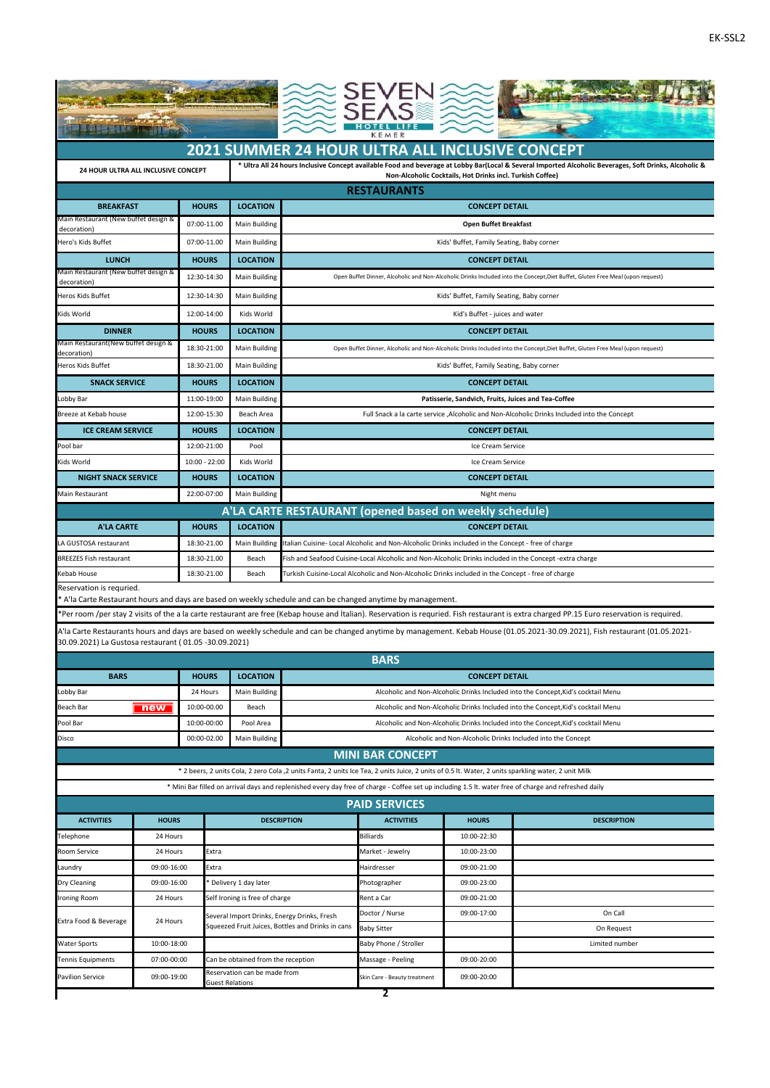|                                                                    | <b>The State of State</b>         |                 |                                                                               |                                                                                                    |                                                                                                                                                     |                                                           |                                                                                                                                                                                             |  |  |  |  |  |  |
|--------------------------------------------------------------------|-----------------------------------|-----------------|-------------------------------------------------------------------------------|----------------------------------------------------------------------------------------------------|-----------------------------------------------------------------------------------------------------------------------------------------------------|-----------------------------------------------------------|---------------------------------------------------------------------------------------------------------------------------------------------------------------------------------------------|--|--|--|--|--|--|
|                                                                    |                                   |                 |                                                                               | 2021 SUMMER 24 HOUR ULTRA ALL INCLUSIVE CONCEPT                                                    |                                                                                                                                                     |                                                           |                                                                                                                                                                                             |  |  |  |  |  |  |
| 24 HOUR ULTRA ALL INCLUSIVE CONCEPT                                |                                   |                 |                                                                               |                                                                                                    |                                                                                                                                                     | Non-Alcoholic Cocktails, Hot Drinks incl. Turkish Coffee) | * Ultra All 24 hours Inclusive Concept available Food and beverage at Lobby Bar(Local & Several Imported Alcoholic Beverages, Soft Drinks, Alcoholic &                                      |  |  |  |  |  |  |
|                                                                    |                                   |                 |                                                                               |                                                                                                    | <b>RESTAURANTS</b>                                                                                                                                  |                                                           |                                                                                                                                                                                             |  |  |  |  |  |  |
| <b>BREAKFAST</b>                                                   |                                   | <b>HOURS</b>    | <b>LOCATION</b>                                                               | <b>CONCEPT DETAIL</b>                                                                              |                                                                                                                                                     |                                                           |                                                                                                                                                                                             |  |  |  |  |  |  |
| Main Restaurant (New buffet design &<br>decoration)                |                                   | 07:00-11.00     | <b>Main Building</b>                                                          |                                                                                                    |                                                                                                                                                     | <b>Open Buffet Breakfast</b>                              |                                                                                                                                                                                             |  |  |  |  |  |  |
| Hero's Kids Buffet<br>07:00-11.00                                  |                                   |                 | Main Building                                                                 |                                                                                                    | Kids' Buffet, Family Seating, Baby corner                                                                                                           |                                                           |                                                                                                                                                                                             |  |  |  |  |  |  |
| <b>LUNCH</b><br><b>HOURS</b>                                       |                                   |                 | <b>LOCATION</b>                                                               |                                                                                                    | <b>CONCEPT DETAIL</b>                                                                                                                               |                                                           |                                                                                                                                                                                             |  |  |  |  |  |  |
| Main Restaurant (New buffet design &<br>12:30-14:30<br>decoration) |                                   |                 | Main Building                                                                 |                                                                                                    | Open Buffet Dinner, Alcoholic and Non-Alcoholic Drinks Included into the Concept, Diet Buffet, Gluten Free Meal (upon request)                      |                                                           |                                                                                                                                                                                             |  |  |  |  |  |  |
| <b>Heros Kids Buffet</b>                                           |                                   | 12:30-14:30     | <b>Main Building</b>                                                          |                                                                                                    | Kids' Buffet, Family Seating, Baby corner                                                                                                           |                                                           |                                                                                                                                                                                             |  |  |  |  |  |  |
| Kids World                                                         |                                   | 12:00-14:00     | Kids World                                                                    |                                                                                                    | Kid's Buffet - juices and water                                                                                                                     |                                                           |                                                                                                                                                                                             |  |  |  |  |  |  |
| <b>DINNER</b>                                                      |                                   | <b>HOURS</b>    | <b>LOCATION</b>                                                               |                                                                                                    | <b>CONCEPT DETAIL</b>                                                                                                                               |                                                           |                                                                                                                                                                                             |  |  |  |  |  |  |
| Main Restaurant(New buffet design &                                |                                   | 18:30-21:00     | <b>Main Building</b>                                                          |                                                                                                    | Open Buffet Dinner, Alcoholic and Non-Alcoholic Drinks Included into the Concept, Diet Buffet, Gluten Free Meal (upon request)                      |                                                           |                                                                                                                                                                                             |  |  |  |  |  |  |
| decoration)<br>Heros Kids Buffet                                   |                                   | 18:30-21.00     | <b>Main Building</b>                                                          |                                                                                                    |                                                                                                                                                     |                                                           |                                                                                                                                                                                             |  |  |  |  |  |  |
| <b>SNACK SERVICE</b>                                               |                                   | <b>HOURS</b>    | <b>LOCATION</b>                                                               | Kids' Buffet, Family Seating, Baby corner<br><b>CONCEPT DETAIL</b>                                 |                                                                                                                                                     |                                                           |                                                                                                                                                                                             |  |  |  |  |  |  |
| Lobby Bar                                                          |                                   | 11:00-19:00     | <b>Main Building</b>                                                          | Patisserie, Sandvich, Fruits, Juices and Tea-Coffee                                                |                                                                                                                                                     |                                                           |                                                                                                                                                                                             |  |  |  |  |  |  |
| Breeze at Kebab house                                              |                                   | 12:00-15:30     | Beach Area                                                                    | Full Snack a la carte service , Alcoholic and Non-Alcoholic Drinks Included into the Concept       |                                                                                                                                                     |                                                           |                                                                                                                                                                                             |  |  |  |  |  |  |
| <b>ICE CREAM SERVICE</b>                                           |                                   | <b>HOURS</b>    | <b>LOCATION</b>                                                               | <b>CONCEPT DETAIL</b>                                                                              |                                                                                                                                                     |                                                           |                                                                                                                                                                                             |  |  |  |  |  |  |
| Pool bar                                                           |                                   | 12:00-21:00     | Pool                                                                          | Ice Cream Service                                                                                  |                                                                                                                                                     |                                                           |                                                                                                                                                                                             |  |  |  |  |  |  |
| Kids World                                                         |                                   | $10:00 - 22:00$ | Kids World                                                                    | Ice Cream Service                                                                                  |                                                                                                                                                     |                                                           |                                                                                                                                                                                             |  |  |  |  |  |  |
| <b>NIGHT SNACK SERVICE</b>                                         |                                   | <b>HOURS</b>    | <b>LOCATION</b>                                                               | <b>CONCEPT DETAIL</b>                                                                              |                                                                                                                                                     |                                                           |                                                                                                                                                                                             |  |  |  |  |  |  |
| Main Restaurant                                                    | 22:00-07:00                       |                 | Main Building                                                                 | Night menu                                                                                         |                                                                                                                                                     |                                                           |                                                                                                                                                                                             |  |  |  |  |  |  |
|                                                                    |                                   |                 |                                                                               |                                                                                                    | A'LA CARTE RESTAURANT (opened based on weekly schedule)                                                                                             |                                                           |                                                                                                                                                                                             |  |  |  |  |  |  |
| <b>A'LA CARTE</b>                                                  |                                   | <b>HOURS</b>    | <b>LOCATION</b>                                                               |                                                                                                    |                                                                                                                                                     | <b>CONCEPT DETAIL</b>                                     |                                                                                                                                                                                             |  |  |  |  |  |  |
| A GUSTOSA restaurant<br>18:30-21.00                                |                                   |                 | <b>Main Building</b>                                                          | Italian Cuisine- Local Alcoholic and Non-Alcoholic Drinks included in the Concept - free of charge |                                                                                                                                                     |                                                           |                                                                                                                                                                                             |  |  |  |  |  |  |
| BREEZES Fish restaurant                                            |                                   | 18:30-21.00     | Beach                                                                         |                                                                                                    |                                                                                                                                                     |                                                           | Fish and Seafood Cuisine-Local Alcoholic and Non-Alcoholic Drinks included in the Concept -extra charge                                                                                     |  |  |  |  |  |  |
| Kebab House                                                        |                                   | 18:30-21.00     | Beach                                                                         |                                                                                                    | Turkish Cuisine-Local Alcoholic and Non-Alcoholic Drinks included in the Concept - free of charge                                                   |                                                           |                                                                                                                                                                                             |  |  |  |  |  |  |
| Reservation is requried.                                           |                                   |                 |                                                                               |                                                                                                    |                                                                                                                                                     |                                                           |                                                                                                                                                                                             |  |  |  |  |  |  |
|                                                                    |                                   |                 |                                                                               |                                                                                                    | ' A'la Carte Restaurant hours and days are based on weekly schedule and can be changed anytime by management.                                       |                                                           |                                                                                                                                                                                             |  |  |  |  |  |  |
|                                                                    |                                   |                 |                                                                               |                                                                                                    |                                                                                                                                                     |                                                           | *Per room /per stay 2 visits of the a la carte restaurant are free (Kebap house and Italian). Reservation is requried. Fish restaurant is extra charged PP.15 Euro reservation is required. |  |  |  |  |  |  |
| 30.09.2021) La Gustosa restaurant ( 01.05 -30.09.2021)             |                                   |                 |                                                                               |                                                                                                    |                                                                                                                                                     |                                                           | A'la Carte Restaurants hours and days are based on weekly schedule and can be changed anytime by management. Kebab House (01.05.2021-30.09.2021), Fish restaurant (01.05.2021-              |  |  |  |  |  |  |
|                                                                    |                                   |                 |                                                                               |                                                                                                    | <b>BARS</b>                                                                                                                                         |                                                           |                                                                                                                                                                                             |  |  |  |  |  |  |
| <b>BARS</b>                                                        | <b>HOURS</b>                      |                 | <b>LOCATION</b>                                                               |                                                                                                    | <b>CONCEPT DETAIL</b>                                                                                                                               |                                                           |                                                                                                                                                                                             |  |  |  |  |  |  |
| Lobby Bar                                                          |                                   | 24 Hours        | Main Building                                                                 |                                                                                                    | Alcoholic and Non-Alcoholic Drinks Included into the Concept, Kid's cocktail Menu                                                                   |                                                           |                                                                                                                                                                                             |  |  |  |  |  |  |
| Beach Bar                                                          | new                               | 10:00-00.00     | Beach                                                                         |                                                                                                    | Alcoholic and Non-Alcoholic Drinks Included into the Concept, Kid's cocktail Menu                                                                   |                                                           |                                                                                                                                                                                             |  |  |  |  |  |  |
| Pool Bar                                                           | 10:00-00:00                       |                 | Pool Area                                                                     | Alcoholic and Non-Alcoholic Drinks Included into the Concept, Kid's cocktail Menu                  |                                                                                                                                                     |                                                           |                                                                                                                                                                                             |  |  |  |  |  |  |
| Disco                                                              |                                   | 00:00-02.00     | Main Building<br>Alcoholic and Non-Alcoholic Drinks Included into the Concept |                                                                                                    |                                                                                                                                                     |                                                           |                                                                                                                                                                                             |  |  |  |  |  |  |
|                                                                    |                                   |                 |                                                                               |                                                                                                    | <b>MINI BAR CONCEPT</b>                                                                                                                             |                                                           |                                                                                                                                                                                             |  |  |  |  |  |  |
|                                                                    |                                   |                 |                                                                               |                                                                                                    | * 2 beers, 2 units Cola, 2 zero Cola ,2 units Fanta, 2 units Ice Tea, 2 units Juice, 2 units of 0.5 lt. Water, 2 units sparkling water, 2 unit Milk |                                                           |                                                                                                                                                                                             |  |  |  |  |  |  |
|                                                                    |                                   |                 |                                                                               |                                                                                                    |                                                                                                                                                     |                                                           | * Mini Bar filled on arrival days and replenished every day free of charge - Coffee set up including 1.5 lt. water free of charge and refreshed daily                                       |  |  |  |  |  |  |
|                                                                    |                                   |                 |                                                                               |                                                                                                    | <b>PAID SERVICES</b>                                                                                                                                |                                                           |                                                                                                                                                                                             |  |  |  |  |  |  |
| <b>ACTIVITIES</b>                                                  | <b>HOURS</b>                      |                 |                                                                               | <b>DESCRIPTION</b>                                                                                 | <b>ACTIVITIES</b>                                                                                                                                   | <b>HOURS</b>                                              | <b>DESCRIPTION</b>                                                                                                                                                                          |  |  |  |  |  |  |
| Telephone                                                          | 24 Hours                          |                 |                                                                               |                                                                                                    | <b>Billiards</b>                                                                                                                                    | 10:00-22:30                                               |                                                                                                                                                                                             |  |  |  |  |  |  |
| Room Service                                                       | 24 Hours                          | Extra           |                                                                               |                                                                                                    | Market - Jewelry                                                                                                                                    | 10:00-23:00                                               |                                                                                                                                                                                             |  |  |  |  |  |  |
| Laundry                                                            | 09:00-16:00<br>09:00-16:00        | Extra           |                                                                               |                                                                                                    | Hairdresser                                                                                                                                         | 09:00-21:00<br>09:00-23:00                                |                                                                                                                                                                                             |  |  |  |  |  |  |
| Dry Cleaning<br>Ironing Room                                       | 24 Hours                          |                 | * Delivery 1 day later<br>Self Ironing is free of charge                      |                                                                                                    | Photographer<br>Rent a Car                                                                                                                          | 09:00-21:00                                               |                                                                                                                                                                                             |  |  |  |  |  |  |
|                                                                    |                                   |                 |                                                                               | Several Import Drinks, Energy Drinks, Fresh                                                        | Doctor / Nurse                                                                                                                                      | 09:00-17:00                                               | On Call                                                                                                                                                                                     |  |  |  |  |  |  |
|                                                                    | Extra Food & Beverage<br>24 Hours |                 |                                                                               | Squeezed Fruit Juices, Bottles and Drinks in cans                                                  | <b>Baby Sitter</b>                                                                                                                                  |                                                           | On Request                                                                                                                                                                                  |  |  |  |  |  |  |
| Water Sports                                                       | 10:00-18:00                       |                 |                                                                               |                                                                                                    | Baby Phone / Stroller                                                                                                                               |                                                           | Limited number                                                                                                                                                                              |  |  |  |  |  |  |
| Tennis Equipments                                                  | 07:00-00:00                       |                 | Can be obtained from the reception                                            |                                                                                                    | Massage - Peeling                                                                                                                                   | 09:00-20:00                                               |                                                                                                                                                                                             |  |  |  |  |  |  |
| <b>Pavilion Service</b>                                            | 09:00-19:00                       |                 | Reservation can be made from<br><b>Guest Relations</b>                        |                                                                                                    | Skin Care - Beauty treatment                                                                                                                        | 09:00-20:00                                               |                                                                                                                                                                                             |  |  |  |  |  |  |
|                                                                    |                                   |                 |                                                                               |                                                                                                    | $\overline{2}$                                                                                                                                      |                                                           |                                                                                                                                                                                             |  |  |  |  |  |  |